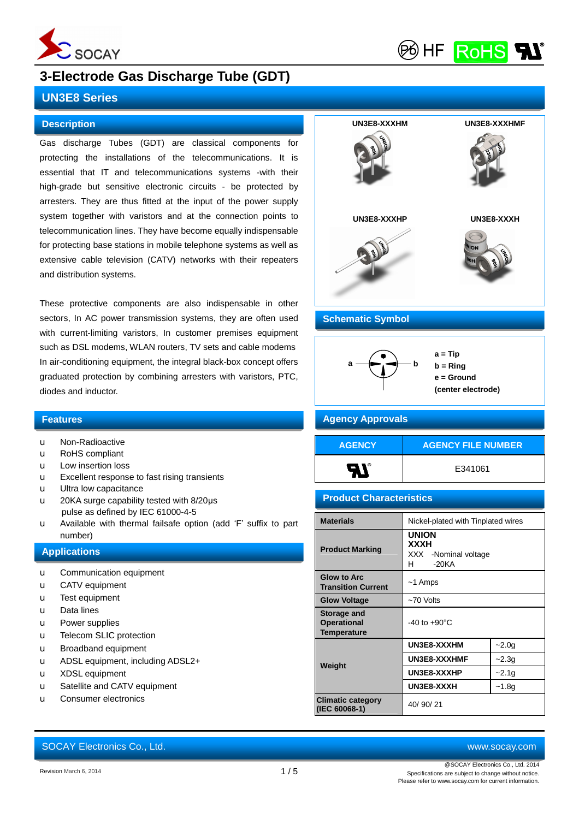

**RoHS** 96) HF

## **3-Electrode Gas Discharge Tube (GDT)**

### **UN3E8 Series**

### **Description**

Gas discharge Tubes (GDT) are classical components for protecting the installations of the telecommunications. It is essential that IT and telecommunications systems -with their high-grade but sensitive electronic circuits - be protected by arresters. They are thus fitted at the input of the power supply system together with varistors and at the connection points to telecommunication lines. They have become equally indispensable for protecting base stations in mobile telephone systems as well as extensive cable television (CATV) networks with their repeaters and distribution systems.

These protective components are also indispensable in other sectors, In AC power transmission systems, they are often used with current-limiting varistors, In customer premises equipment such as DSL modems, WLAN routers, TV sets and cable modems In air-conditioning equipment, the integral black-box concept offers graduated protection by combining arresters with varistors, PTC, diodes and inductor.

### **Features**

- u Non-Radioactive
- u RoHS compliant
- u Low insertion loss
- u Excellent response to fast rising transients
- u Ultra low capacitance
- u 20KA surge capability tested with 8/20μs pulse as defined by IEC 61000-4-5
- u Available with thermal failsafe option (add 'F' suffix to part number)

#### **Applications**

- u Communication equipment
- u CATV equipment
- u Test equipment
- u Data lines
- u Power supplies
- u Telecom SLIC protection
- u Broadband equipment
- u ADSL equipment, including ADSL2+
- u XDSL equipment
- u Satellite and CATV equipment
- u Consumer electronics

# SOCAY Electronics Co., Ltd. [www.socay.com](http://www.socay.com)



### **Schematic Symbol**



### **b = Ring e = Ground (center electrode)**

### **Agency Approvals**

| <b>AGENCY</b> | <b>AGENCY FILE NUMBER</b> |
|---------------|---------------------------|
|               | E341061                   |

### **Product Characteristics**

| <b>Materials</b>                                        | Nickel-plated with Tinplated wires                                      |         |  |  |  |  |
|---------------------------------------------------------|-------------------------------------------------------------------------|---------|--|--|--|--|
| <b>Product Marking</b>                                  | <b>UNION</b><br><b>XXXH</b><br>XXX<br>-Nominal voltage<br>$-20KA$<br>H. |         |  |  |  |  |
| <b>Glow to Arc</b><br><b>Transition Current</b>         | $~1$ Amps                                                               |         |  |  |  |  |
| <b>Glow Voltage</b>                                     | ~70 Volts                                                               |         |  |  |  |  |
| Storage and<br><b>Operational</b><br><b>Temperature</b> | $-40$ to $+90^{\circ}$ C                                                |         |  |  |  |  |
|                                                         | UN3E8-XXXHM                                                             | $-2.0g$ |  |  |  |  |
| Weight                                                  | UN3E8-XXXHMF                                                            | $-2.3g$ |  |  |  |  |
|                                                         | UN3E8-XXXHP                                                             | $-2.1g$ |  |  |  |  |
|                                                         | UN3E8-XXXH                                                              | $-1.8g$ |  |  |  |  |
| <b>Climatic category</b><br>(IEC 60068-1)               | 40/90/21                                                                |         |  |  |  |  |

@SOCAY Electronics Co., Ltd. 2014 Specifications are subject to change without notice. Please refer to [www.socay.com](http://www.socay.com) for current information.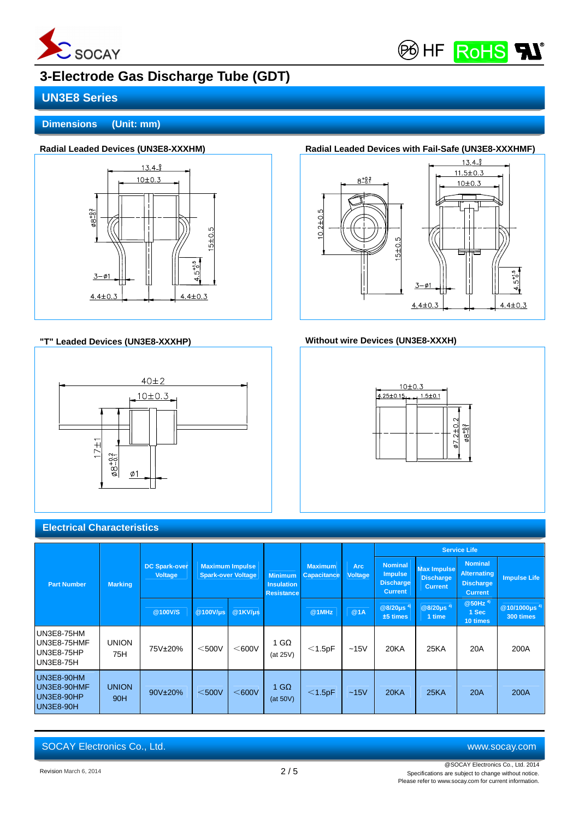



# **3-Electrode Gas Discharge Tube (GDT)**

## **UN3E8 Series**

**Dimensions (Unit: mm)**



### **"T" Leaded Devices (UN3E8-XXXHP) Without wire Devices (UN3E8-XXXH)**



# Radial Leaded Devices (UN3E8-XXXHM) **Radial Leaded Devices with Fail-Safe (UN3E8-XXXHMF)**





### **Electrical Characteristics**

|                                                             | <b>Marking</b>      |                                                                                               |             |                                                          |                          |                                      |                              | <b>Service Life</b>                                                    |                                                          |                                                                            |                                             |
|-------------------------------------------------------------|---------------------|-----------------------------------------------------------------------------------------------|-------------|----------------------------------------------------------|--------------------------|--------------------------------------|------------------------------|------------------------------------------------------------------------|----------------------------------------------------------|----------------------------------------------------------------------------|---------------------------------------------|
| <b>Part Number</b>                                          |                     | <b>Maximum Impulse</b><br><b>DC Spark-over</b><br><b>Voltage</b><br><b>Spark-over Voltage</b> |             | <b>Minimum</b><br><b>Insulation</b><br><b>Resistance</b> |                          | <b>Maximum</b><br><b>Capacitance</b> | <b>Arc</b><br><b>Voltage</b> | <b>Nominal</b><br><b>Impulse</b><br><b>Discharge</b><br><b>Current</b> | <b>Max Impulse</b><br><b>Discharge</b><br><b>Current</b> | <b>Nominal</b><br><b>Alternating</b><br><b>Discharge</b><br><b>Current</b> | <b>Impulse Life</b>                         |
|                                                             |                     | @100V/S                                                                                       | @100V/µs    | @1KVI <sub>µS</sub>                                      |                          | @1MHz                                | @1A                          | @8/20 $\mu$ s <sup>4)</sup><br>$±5$ times                              | $@8/20 \mu s$ <sup>4)</sup><br>1 time                    | $@50$ Hz <sup>4)</sup><br>1 Sec<br>10 times                                | @10/1000 $\mu$ s <sup>4)</sup><br>300 times |
| UN3E8-75HM<br>UN3E8-75HMF<br>UN3E8-75HP<br><b>UN3E8-75H</b> | <b>UNION</b><br>75H | 75V±20%                                                                                       | $<$ 500 $V$ | $<$ 600 $<$                                              | 1 G $\Omega$<br>(at 25V) | $<$ 1.5pF                            | $-15V$                       | <b>20KA</b>                                                            | 25KA                                                     | 20A                                                                        | 200A                                        |
| UN3E8-90HM<br>UN3E8-90HMF<br>UN3E8-90HP<br>UN3E8-90H        | <b>UNION</b><br>90H | 90V±20%                                                                                       | $<$ 500V    | $<$ 600V                                                 | 1 G $\Omega$<br>(at 50V) | $<$ 1.5pF                            | $-15V$                       | 20 <sub>K</sub> A                                                      | <b>25KA</b>                                              | 20A                                                                        | 200A                                        |

SOCAY Electronics Co., Ltd. [www.socay.com](http://www.socay.com)

Revision March 6, 2014 2 / 5

@SOCAY Electronics Co., Ltd. 2014 Specifications are subject to change without notice. Please refer to [www.socay.com](http://www.socay.com) for current information.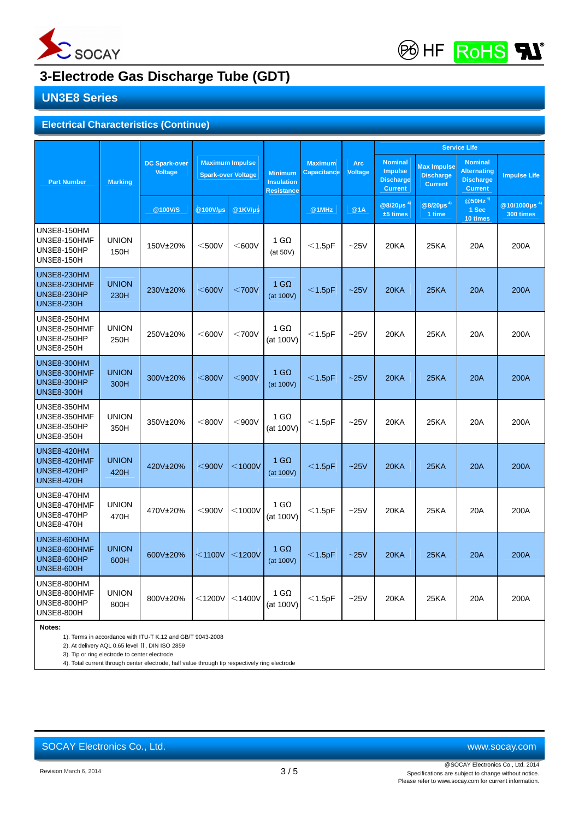

**BHF** RoHS

# **3-Electrode Gas Discharge Tube (GDT)**

## **UN3E8 Series**

### **Electrical Characteristics (Continue)**

|                                                                                      |                      |                                        |                                                     |                     |                                                          |                               |                              | <b>Service Life</b>                                                    |                                                          |                                                                            |                                             |
|--------------------------------------------------------------------------------------|----------------------|----------------------------------------|-----------------------------------------------------|---------------------|----------------------------------------------------------|-------------------------------|------------------------------|------------------------------------------------------------------------|----------------------------------------------------------|----------------------------------------------------------------------------|---------------------------------------------|
| <b>Part Number</b>                                                                   | <b>Marking</b>       | <b>DC Spark-over</b><br><b>Voltage</b> | <b>Maximum Impulse</b><br><b>Spark-over Voltage</b> |                     | <b>Minimum</b><br><b>Insulation</b><br><b>Resistance</b> | <b>Maximum</b><br>Capacitance | <b>Arc</b><br><b>Voltage</b> | <b>Nominal</b><br><b>Impulse</b><br><b>Discharge</b><br><b>Current</b> | <b>Max Impulse</b><br><b>Discharge</b><br><b>Current</b> | <b>Nominal</b><br><b>Alternating</b><br><b>Discharge</b><br><b>Current</b> | <b>Impulse Life</b>                         |
|                                                                                      |                      | @100V/S                                | @100V/µs                                            | @1KVI <sub>µS</sub> |                                                          | @1MHz                         | @1A                          | @8/20 $\mu$ s <sup>4)</sup><br>$±5$ times                              | $@8/20\mu s^{4}$<br>1 time                               | $@50Hz$ <sup>4)</sup><br>1 Sec<br>10 times                                 | $@10/1000 \mu s$ <sup>4)</sup><br>300 times |
| UN3E8-150HM<br><b>UN3E8-150HMF</b><br>UN3E8-150HP<br>UN3E8-150H                      | <b>UNION</b><br>150H | 150V±20%                               | $<$ 500V                                            | $<$ 600V            | 1 G $\Omega$<br>(at 50V)                                 | $<$ 1.5pF                     | $-25V$                       | 20KA                                                                   | 25KA                                                     | 20A                                                                        | 200A                                        |
| <b>UN3E8-230HM</b><br>UN3E8-230HMF<br><b>UN3E8-230HP</b><br><b>UN3E8-230H</b>        | <b>UNION</b><br>230H | 230V±20%                               | $<$ 600V                                            | $<$ 700V            | 1 G $\Omega$<br>(at 100V)                                | $<$ 1.5pF                     | $-25V$                       | <b>20KA</b>                                                            | <b>25KA</b>                                              | <b>20A</b>                                                                 | 200A                                        |
| UN3E8-250HM<br><b>UN3E8-250HMF</b><br>UN3E8-250HP<br>UN3E8-250H                      | <b>UNION</b><br>250H | 250V±20%                               | $<$ 600V                                            | $<$ 700V            | 1 G $\Omega$<br>(at 100V)                                | $<$ 1.5pF                     | $-25V$                       | 20KA                                                                   | 25KA                                                     | 20A                                                                        | 200A                                        |
| <b>UN3E8-300HM</b><br>UN3E8-300HMF<br><b>UN3E8-300HP</b><br><b>UN3E8-300H</b>        | <b>UNION</b><br>300H | 300V±20%                               | $<$ 800V                                            | $900V$              | $1$ GQ<br>(at 100V)                                      | $<$ 1.5pF                     | $-25V$                       | 20KA                                                                   | <b>25KA</b>                                              | 20A                                                                        | 200A                                        |
| UN3E8-350HM<br>UN3E8-350HMF<br>UN3E8-350HP<br>UN3E8-350H                             | <b>UNION</b><br>350H | 350V±20%                               | $<$ 800V                                            | $<$ 900 $V$         | 1 G $\Omega$<br>(at 100V)                                | $<$ 1.5pF                     | $-25V$                       | 20KA                                                                   | 25KA                                                     | 20A                                                                        | 200A                                        |
| <b>UN3E8-420HM</b><br><b>UN3E8-420HMF</b><br><b>UN3E8-420HP</b><br><b>UN3E8-420H</b> | <b>UNION</b><br>420H | 420V±20%                               | $<$ 900V                                            | $<$ 1000V           | $1$ G $\Omega$<br>(at 100V)                              | $<$ 1.5pF                     | $-25V$                       | 20KA                                                                   | <b>25KA</b>                                              | 20A                                                                        | 200A                                        |
| UN3E8-470HM<br>UN3E8-470HMF<br>UN3E8-470HP<br>UN3E8-470H                             | <b>UNION</b><br>470H | 470V±20%                               | $<$ 900V                                            | $<$ 1000V           | 1 G $\Omega$<br>(at 100V)                                | $<$ 1.5pF                     | $-25V$                       | 20KA                                                                   | 25KA                                                     | 20A                                                                        | 200A                                        |
| UN3E8-600HM<br>UN3E8-600HMF<br><b>UN3E8-600HP</b><br><b>UN3E8-600H</b>               | <b>UNION</b><br>600H | 600V±20%                               | $<$ 1100 $V$                                        | $<$ 1200V           | $1$ G $\Omega$<br>(at 100V)                              | $<$ 1.5pF                     | $-25V$                       | 20KA                                                                   | <b>25KA</b>                                              | <b>20A</b>                                                                 | 200A                                        |
| UN3E8-800HM<br>UN3E8-800HMF<br>UN3E8-800HP<br>UN3E8-800H                             | <b>UNION</b><br>800H | 800V±20%                               | $<$ 1200V                                           | $<$ 1400V           | 1 G $\Omega$<br>(at 100V)                                | $<$ 1.5pF                     | $-25V$                       | 20KA                                                                   | 25KA                                                     | 20A                                                                        | 200A                                        |
| Notes:                                                                               |                      |                                        |                                                     |                     |                                                          |                               |                              |                                                                        |                                                          |                                                                            |                                             |

1). Terms in accordance with ITU-T K.12 and GB/T 9043-2008

2). At delivery AQL 0.65 level Ⅱ, DIN ISO 2859

3). Tip or ring electrode to center electrode

4). Total current through center electrode, half value through tip respectively ring electrode

SOCAY Electronics Co., Ltd. [www.socay.com](http://www.socay.com)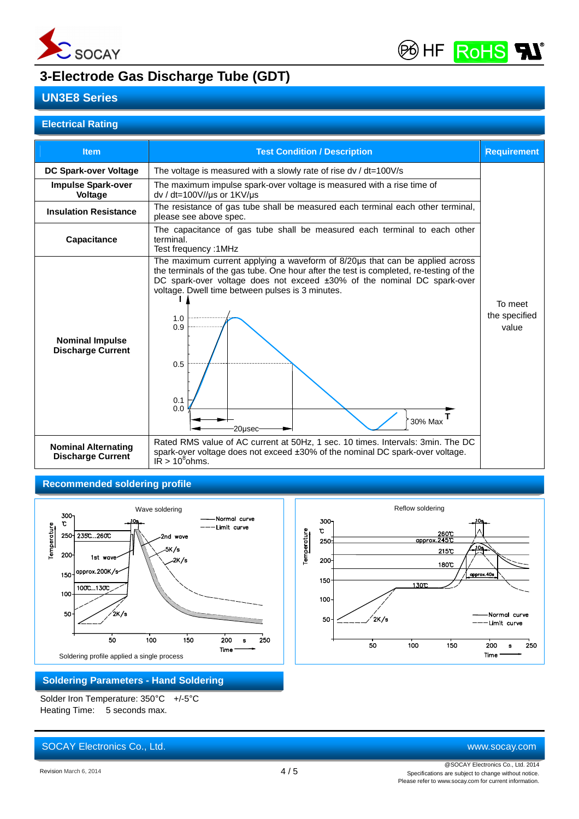



# **3-Electrode Gas Discharge Tube (GDT)**

## **UN3E8 Series**

### **Electrical Rating**

| <b>DC Spark-over Voltage</b><br><b>Impulse Spark-over</b><br><b>Voltage</b><br><b>Insulation Resistance</b>  | The voltage is measured with a slowly rate of rise dv / dt=100V/s<br>The maximum impulse spark-over voltage is measured with a rise time of<br>$dv / dt = 100 V // \mu s$ or 1KV/ $\mu s$<br>The resistance of gas tube shall be measured each terminal each other terminal,                                                                                                                                                                                                                                                                           |                                   |
|--------------------------------------------------------------------------------------------------------------|--------------------------------------------------------------------------------------------------------------------------------------------------------------------------------------------------------------------------------------------------------------------------------------------------------------------------------------------------------------------------------------------------------------------------------------------------------------------------------------------------------------------------------------------------------|-----------------------------------|
|                                                                                                              |                                                                                                                                                                                                                                                                                                                                                                                                                                                                                                                                                        |                                   |
|                                                                                                              | please see above spec.                                                                                                                                                                                                                                                                                                                                                                                                                                                                                                                                 |                                   |
| Capacitance                                                                                                  | The capacitance of gas tube shall be measured each terminal to each other<br>terminal.<br>Test frequency: 1MHz                                                                                                                                                                                                                                                                                                                                                                                                                                         |                                   |
| <b>Nominal Impulse</b><br><b>Discharge Current</b><br><b>Nominal Alternating</b><br><b>Discharge Current</b> | The maximum current applying a waveform of 8/20µs that can be applied across<br>the terminals of the gas tube. One hour after the test is completed, re-testing of the<br>DC spark-over voltage does not exceed ±30% of the nominal DC spark-over<br>voltage. Dwell time between pulses is 3 minutes.<br>1.0<br>0.9<br>0.5<br>0.1<br>0.0<br>30% Max<br>20usec<br>Rated RMS value of AC current at 50Hz, 1 sec. 10 times. Intervals: 3min. The DC<br>spark-over voltage does not exceed ±30% of the nominal DC spark-over voltage.<br>$IR > 10^8$ ohms. | To meet<br>the specified<br>value |

### **Recommended soldering profile**



### **Soldering Parameters - Hand Soldering**

Solder Iron Temperature: 350°C +/-5°C Heating Time: 5 seconds max.



SOCAY Electronics Co., Ltd. [www.socay.com](http://www.socay.com)